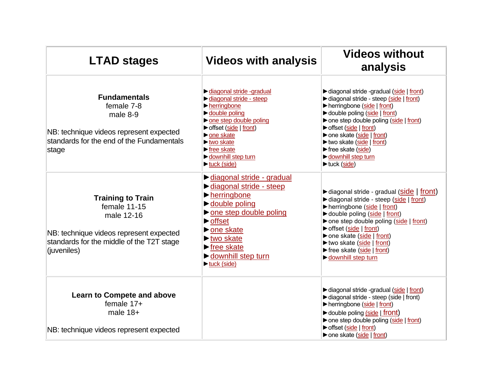| <b>LTAD stages</b>                                                                                                                                            | <b>Videos with analysis</b>                                                                                                                                                                                                                                                                                     | <b>Videos without</b><br>analysis                                                                                                                                                                                                                                                                                                       |
|---------------------------------------------------------------------------------------------------------------------------------------------------------------|-----------------------------------------------------------------------------------------------------------------------------------------------------------------------------------------------------------------------------------------------------------------------------------------------------------------|-----------------------------------------------------------------------------------------------------------------------------------------------------------------------------------------------------------------------------------------------------------------------------------------------------------------------------------------|
| <b>Fundamentals</b><br>female 7-8<br>male 8-9<br>NB: technique videos represent expected<br>standards for the end of the Fundamentals<br>stage                | diagonal stride -gradual<br>diagonal stride - steep<br>$\blacktriangleright$ herringbone<br>double poling<br>one step double poling<br>▶ offset (side   front)<br>ne skate<br>$\blacktriangleright$ two skate<br>$\blacktriangleright$ free skate<br>downhill step turn<br>$\blacktriangleright$ tuck (side)    | diagonal stride -gradual (side   front)<br>diagonal stride - steep (side   front)<br>herringbone (side   front)<br>► double poling (side   front)<br>one step double poling (side   front)<br>offset (side   front)<br>▶ one skate (side   front)<br>two skate (side   front)<br>free skate (side)<br>downhill step turn<br>tuck (side) |
| <b>Training to Train</b><br>female 11-15<br>male 12-16<br>NB: technique videos represent expected<br>standards for the middle of the T2T stage<br>(juveniles) | ► diagonal stride - gradual<br>diagonal stride - steep<br>$\blacktriangleright$ herringbone<br>double poling<br>one step double poling<br>$\triangleright$ offset<br>ne skate<br>$\blacktriangleright$ two skate<br>$\blacktriangleright$ free skate<br>lownhill step turn<br>$\blacktriangleright$ tuck (side) | ► diagonal stride - gradual (side   front)<br>diagonal stride - steep (side   front)<br>herringbone (side   front)<br>► double poling (side   front)<br>▶ one step double poling (side   front)<br>offset (side   front)<br>one skate (side   front)<br>► two skate (side   front)<br>▶ free skate (side   front)<br>downhill step turn |
| <b>Learn to Compete and above</b><br>female $17+$<br>male $18+$<br>NB: technique videos represent expected                                                    |                                                                                                                                                                                                                                                                                                                 | diagonal stride -gradual (side   front)<br>diagonal stride - steep (side   front)<br>herringbone (side   front)<br>► double poling (side   front)<br>ne step double poling (side   front)<br>offset (side   front)<br>one skate (side   front)                                                                                          |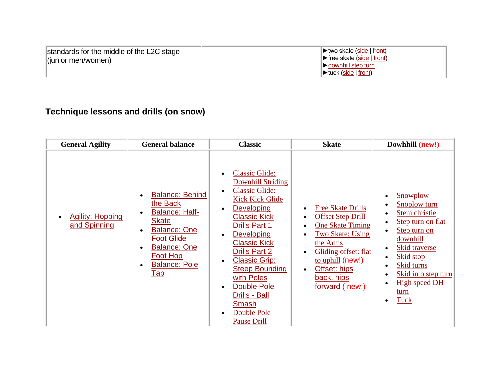| standards for the middle of the L2C stage<br>(junior men/women) | $\triangleright$ two skate (side $\vert$ front)<br>$\blacktriangleright$ free skate (side $\mid$ front)<br>$\triangleright$ downhill step turn<br>$\blacktriangleright$ tuck (side   front) |
|-----------------------------------------------------------------|---------------------------------------------------------------------------------------------------------------------------------------------------------------------------------------------|
|-----------------------------------------------------------------|---------------------------------------------------------------------------------------------------------------------------------------------------------------------------------------------|

## **Technique lessons and drills (on snow)**

| <b>General Agility</b>                  | <b>General balance</b>                                                                                                                                                                                                                                     | <b>Classic</b>                                                                                                                                                                                                                                                                                                                                                                                                                                                    | <b>Skate</b>                                                                                                                                                                                                                                 | Dowhhill (new!)                                                                                                                                                                                                                                                 |
|-----------------------------------------|------------------------------------------------------------------------------------------------------------------------------------------------------------------------------------------------------------------------------------------------------------|-------------------------------------------------------------------------------------------------------------------------------------------------------------------------------------------------------------------------------------------------------------------------------------------------------------------------------------------------------------------------------------------------------------------------------------------------------------------|----------------------------------------------------------------------------------------------------------------------------------------------------------------------------------------------------------------------------------------------|-----------------------------------------------------------------------------------------------------------------------------------------------------------------------------------------------------------------------------------------------------------------|
| <b>Agility: Hopping</b><br>and Spinning | <b>Balance: Behind</b><br>$\bullet$<br>the Back<br><b>Balance: Half-</b><br>$\bullet$<br>Skate<br><b>Balance: One</b><br>$\bullet$<br><b>Foot Glide</b><br><b>Balance: One</b><br>$\bullet$<br>Foot Hop<br><b>Balance: Pole</b><br>$\bullet$<br><u>Tap</u> | <b>Classic Glide:</b><br><b>Downhill Striding</b><br><b>Classic Glide:</b><br>$\bullet$<br><b>Kick Kick Glide</b><br><b>Developing</b><br>$\bullet$<br><b>Classic Kick</b><br><b>Drills Part 1</b><br><b>Developing</b><br>$\bullet$<br><b>Classic Kick</b><br><b>Drills Part 2</b><br><b>Classic Grip:</b><br>$\bullet$<br><b>Steep Bounding</b><br>with Poles<br><b>Double Pole</b><br>$\bullet$<br>Drills - Ball<br>Smash<br>Double Pole<br><b>Pause Drill</b> | <b>Free Skate Drills</b><br><b>Offset Step Drill</b><br><b>One Skate Timing</b><br>$\bullet$<br><b>Two Skate: Using</b><br>the Arms<br>Gliding offset: flat<br>to uphill (new!)<br>Offset: hips<br>$\bullet$<br>back, hips<br>forward (new!) | Snowplow<br>Snoplow turn<br>٠<br>Stem christie<br>$\bullet$<br>Step turn on flat<br>Step turn on<br>downhill<br><b>Skid traverse</b><br><b>Skid stop</b><br>Skid turns<br>$\bullet$<br>Skid into step turn<br><b>High speed DH</b><br>$\bullet$<br>turn<br>Tuck |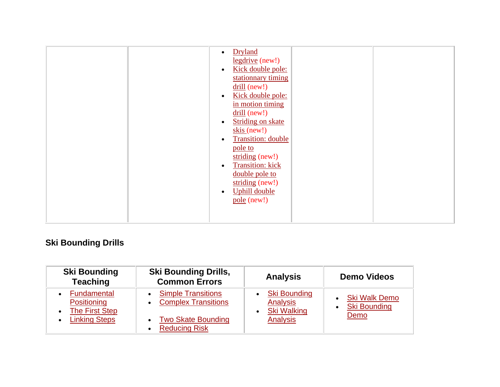|  | Dryland<br>$\bullet$<br>$legdrive$ (new!)<br>Kick double pole:<br>$\bullet$<br>stationnary timing<br>$\frac{\text{drill}}{\text{m}}$ (new!)<br>Kick double pole:<br>$\bullet$<br>in motion timing<br>$drill$ (new!)<br><b>Striding on skate</b><br>$\bullet$<br>$skis$ (new!)<br><b>Transition: double</b><br>$\bullet$<br>pole to<br>striding (new!)<br><b>Transition:</b> kick<br>$\bullet$<br>double pole to<br>striding (new!)<br><b>Uphill double</b><br>$\bullet$ |  |
|--|-------------------------------------------------------------------------------------------------------------------------------------------------------------------------------------------------------------------------------------------------------------------------------------------------------------------------------------------------------------------------------------------------------------------------------------------------------------------------|--|
|  | $pole$ (new!)                                                                                                                                                                                                                                                                                                                                                                                                                                                           |  |

## **Ski Bounding Drills**

| <b>Ski Bounding</b><br><b>Teaching</b>                    | <b>Ski Bounding Drills,</b><br><b>Common Errors</b>                         | <b>Analysis</b>                                              | <b>Demo Videos</b>                          |
|-----------------------------------------------------------|-----------------------------------------------------------------------------|--------------------------------------------------------------|---------------------------------------------|
| Fundamental<br>Positioning<br>The First Step<br>$\bullet$ | <b>Simple Transitions</b><br><b>Complex Transitions</b><br>$\bullet$        | <b>Ski Bounding</b><br><b>Analysis</b><br><b>Ski Walking</b> | <b>Ski Walk Demo</b><br><b>Ski Bounding</b> |
| <b>Linking Steps</b><br>$\bullet$                         | <b>Two Skate Bounding</b><br>$\bullet$<br><b>Reducing Risk</b><br>$\bullet$ | Analysis                                                     | Demo                                        |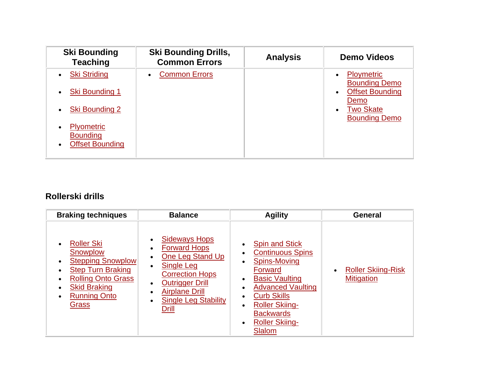| <b>Ski Bounding</b><br><b>Teaching</b>                              | <b>Ski Bounding Drills,</b><br><b>Common Errors</b> | <b>Analysis</b> | <b>Demo Videos</b>                                                                            |
|---------------------------------------------------------------------|-----------------------------------------------------|-----------------|-----------------------------------------------------------------------------------------------|
| <b>Ski Striding</b><br><b>Ski Bounding 1</b><br>$\bullet$           | <b>Common Errors</b>                                |                 | <b>Ploymetric</b><br>$\bullet$<br><b>Bounding Demo</b><br><b>Offset Bounding</b><br>$\bullet$ |
| <b>Ski Bounding 2</b>                                               |                                                     |                 | Demo<br><b>Two Skate</b><br>$\bullet$<br><b>Bounding Demo</b>                                 |
| <b>Plyometric</b><br>٠<br><b>Bounding</b><br><b>Offset Bounding</b> |                                                     |                 |                                                                                               |

## **Rollerski drills**

| <b>Braking techniques</b>                                                                                                                                                                                               | <b>Balance</b>                                                                                                                                                                                                                                          | <b>Agility</b>                                                                                                                                                                                                                                       | General                                        |
|-------------------------------------------------------------------------------------------------------------------------------------------------------------------------------------------------------------------------|---------------------------------------------------------------------------------------------------------------------------------------------------------------------------------------------------------------------------------------------------------|------------------------------------------------------------------------------------------------------------------------------------------------------------------------------------------------------------------------------------------------------|------------------------------------------------|
| <b>Roller Ski</b><br>$\bullet$<br>Snowplow<br><b>Stepping Snowplow</b><br>$\bullet$<br><b>Step Turn Braking</b><br><b>Rolling Onto Grass</b><br><b>Skid Braking</b><br><b>Running Onto</b><br>$\bullet$<br><u>Grass</u> | <b>Sideways Hops</b><br><b>Forward Hops</b><br>$\bullet$<br>One Leg Stand Up<br><b>Single Leg</b><br><b>Correction Hops</b><br><b>Outrigger Drill</b><br>$\bullet$<br><b>Airplane Drill</b><br><b>Single Leg Stability</b><br>$\bullet$<br><b>Drill</b> | <b>Spin and Stick</b><br><b>Continuous Spins</b><br><b>Spins-Moving</b><br>Forward<br><b>Basic Vaulting</b><br><b>Advanced Vaulting</b><br><b>Curb Skills</b><br><b>Roller Skiing-</b><br><b>Backwards</b><br><b>Roller Skiing-</b><br><b>Slalom</b> | <b>Roller Skiing-Risk</b><br><b>Mitigation</b> |